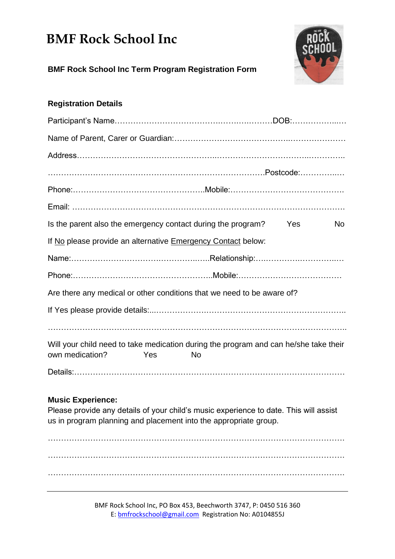## **BMF Rock School Inc**



**BMF Rock School Inc Term Program Registration Form**

### **Registration Details**

| Is the parent also the emergency contact during the program?                                                                                                                                                                                               |           | Yes | <b>No</b> |
|------------------------------------------------------------------------------------------------------------------------------------------------------------------------------------------------------------------------------------------------------------|-----------|-----|-----------|
| If No please provide an alternative Emergency Contact below:                                                                                                                                                                                               |           |     |           |
|                                                                                                                                                                                                                                                            |           |     |           |
|                                                                                                                                                                                                                                                            |           |     |           |
| Are there any medical or other conditions that we need to be aware of?                                                                                                                                                                                     |           |     |           |
|                                                                                                                                                                                                                                                            |           |     |           |
|                                                                                                                                                                                                                                                            |           |     |           |
| Will your child need to take medication during the program and can he/she take their<br>own medication?<br>Yes                                                                                                                                             | <b>No</b> |     |           |
|                                                                                                                                                                                                                                                            |           |     |           |
| <b>Music Experience:</b><br>the contract of the contract of the contract of the contract of the contract of the contract of the contract of the contract of the contract of the contract of the contract of the contract of the contract of the contract o |           |     |           |

Please provide any details of your child's music experience to date. This will assist us in program planning and placement into the appropriate group.

…………………………………………………………………………………………………. …………………………………………………………………………………………………. ………………………………………………………………………………………………….

> BMF Rock School Inc, PO Box 453, Beechworth 3747, P: 0450 516 360 E[: bmfrockschool@gmail.com](mailto:bmfrockschool@gmail.com) Registration No: A0104855J